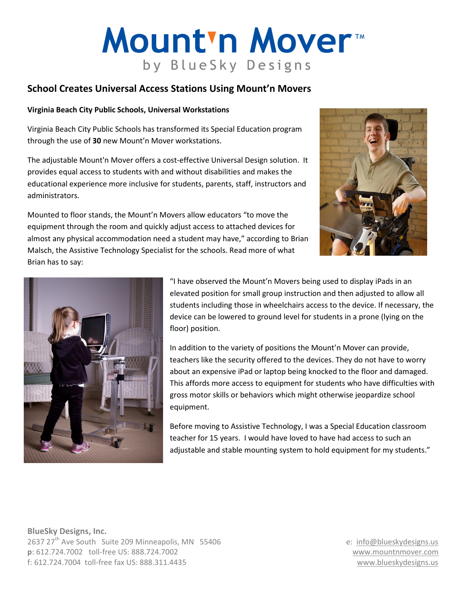# Mount'n Mover by BlueSky Designs

## School Creates Universal Access Stations Using Mount'n Movers

#### Virginia Beach City Public Schools, Universal Workstations

Virginia Beach City Public Schools has transformed its Special Education program through the use of 30 new Mount'n Mover workstations.

The adjustable Mount'n Mover offers a cost-effective Universal Design solution. It provides equal access to students with and without disabilities and makes the educational experience more inclusive for students, parents, staff, instructors and administrators.

Mounted to floor stands, the Mount'n Movers allow educators "to move the equipment through the room and quickly adjust access to attached devices for almost any physical accommodation need a student may have," according to Brian Malsch, the Assistive Technology Specialist for the schools. Read more of what Brian has to say:





"I have observed the Mount'n Movers being used to display iPads in an elevated position for small group instruction and then adjusted to allow all students including those in wheelchairs access to the device. If necessary, the device can be lowered to ground level for students in a prone (lying on the floor) position.

In addition to the variety of positions the Mount'n Mover can provide, teachers like the security offered to the devices. They do not have to worry about an expensive iPad or laptop being knocked to the floor and damaged. This affords more access to equipment for students who have difficulties with gross motor skills or behaviors which might otherwise jeopardize school equipment.

Before moving to Assistive Technology, I was a Special Education classroom teacher for 15 years. I would have loved to have had access to such an adjustable and stable mounting system to hold equipment for my students."

BlueSky Designs, Inc. 2637 27<sup>th</sup> Ave South Suite 209 Minneapolis, MN 55406 e: info@blueskydesigns.us p: 612.724.7002 toll-free US: 888.724.7002 www.mountnmover.com f: 612.724.7004 toll-free fax US: 888.311.4435 www.blueskydesigns.us